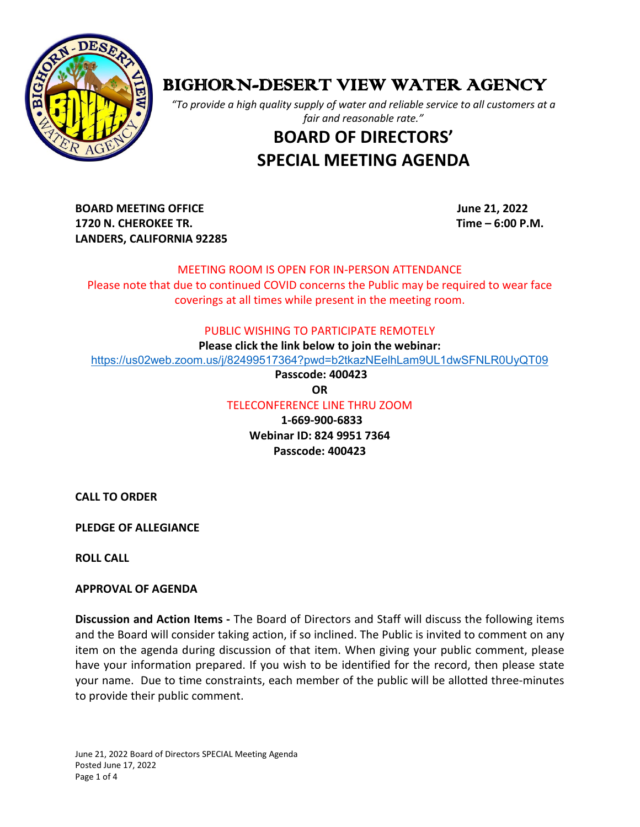

## BIGHORN-DESERT VIEW WATER AGENCY

*"To provide a high quality supply of water and reliable service to all customers at a fair and reasonable rate."*

# **BOARD OF DIRECTORS' SPECIAL MEETING AGENDA**

**BOARD MEETING OFFICE June 21, 2022 1720 N. CHEROKEE TR. Time – 6:00 P.M. LANDERS, CALIFORNIA 92285**

## MEETING ROOM IS OPEN FOR IN-PERSON ATTENDANCE

Please note that due to continued COVID concerns the Public may be required to wear face coverings at all times while present in the meeting room.

#### PUBLIC WISHING TO PARTICIPATE REMOTELY

**Please click the link below to join the webinar:**

<https://us02web.zoom.us/j/82499517364?pwd=b2tkazNEelhLam9UL1dwSFNLR0UyQT09>

**Passcode: 400423**

**OR**

TELECONFERENCE LINE THRU ZOOM

 **1-669-900-6833 Webinar ID: 824 9951 7364 Passcode: 400423**

**CALL TO ORDER**

**PLEDGE OF ALLEGIANCE** 

**ROLL CALL**

## **APPROVAL OF AGENDA**

**Discussion and Action Items -** The Board of Directors and Staff will discuss the following items and the Board will consider taking action, if so inclined. The Public is invited to comment on any item on the agenda during discussion of that item. When giving your public comment, please have your information prepared. If you wish to be identified for the record, then please state your name. Due to time constraints, each member of the public will be allotted three-minutes to provide their public comment.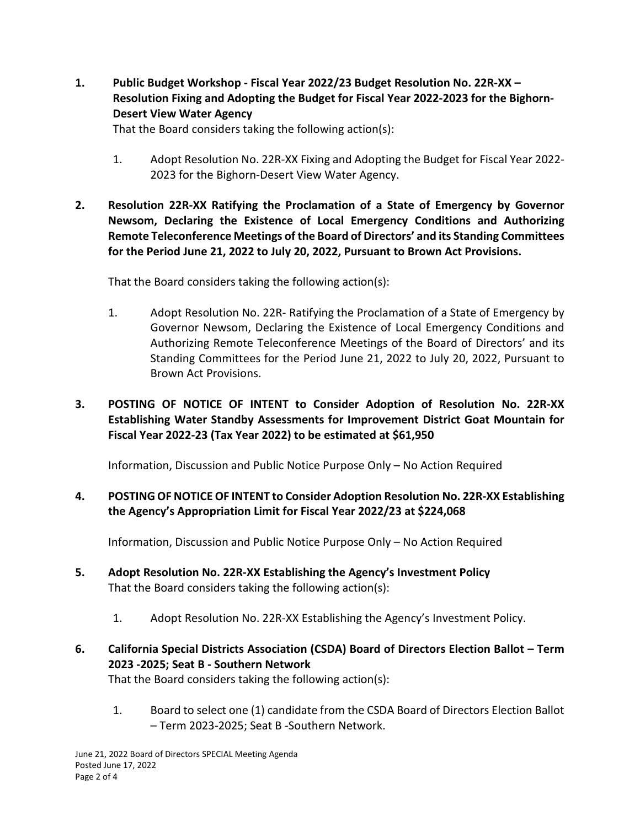**1. Public Budget Workshop - Fiscal Year 2022/23 Budget Resolution No. 22R-XX – Resolution Fixing and Adopting the Budget for Fiscal Year 2022-2023 for the Bighorn-Desert View Water Agency**

That the Board considers taking the following action(s):

- 1. Adopt Resolution No. 22R-XX Fixing and Adopting the Budget for Fiscal Year 2022- 2023 for the Bighorn-Desert View Water Agency.
- **2. Resolution 22R-XX Ratifying the Proclamation of a State of Emergency by Governor Newsom, Declaring the Existence of Local Emergency Conditions and Authorizing Remote Teleconference Meetings of the Board of Directors' and its Standing Committees for the Period June 21, 2022 to July 20, 2022, Pursuant to Brown Act Provisions.**

That the Board considers taking the following action(s):

1. Adopt Resolution No. 22R- Ratifying the Proclamation of a State of Emergency by Governor Newsom, Declaring the Existence of Local Emergency Conditions and Authorizing Remote Teleconference Meetings of the Board of Directors' and its Standing Committees for the Period June 21, 2022 to July 20, 2022, Pursuant to Brown Act Provisions.

## **3. POSTING OF NOTICE OF INTENT to Consider Adoption of Resolution No. 22R-XX Establishing Water Standby Assessments for Improvement District Goat Mountain for Fiscal Year 2022-23 (Tax Year 2022) to be estimated at \$61,950**

Information, Discussion and Public Notice Purpose Only – No Action Required

## **4. POSTING OF NOTICE OF INTENT to Consider Adoption Resolution No. 22R-XX Establishing the Agency's Appropriation Limit for Fiscal Year 2022/23 at \$224,068**

Information, Discussion and Public Notice Purpose Only – No Action Required

- **5. Adopt Resolution No. 22R-XX Establishing the Agency's Investment Policy**  That the Board considers taking the following action(s):
	- 1. Adopt Resolution No. 22R-XX Establishing the Agency's Investment Policy.
- **6. California Special Districts Association (CSDA) Board of Directors Election Ballot – Term 2023 -2025; Seat B - Southern Network**

That the Board considers taking the following action(s):

1. Board to select one (1) candidate from the CSDA Board of Directors Election Ballot – Term 2023-2025; Seat B -Southern Network.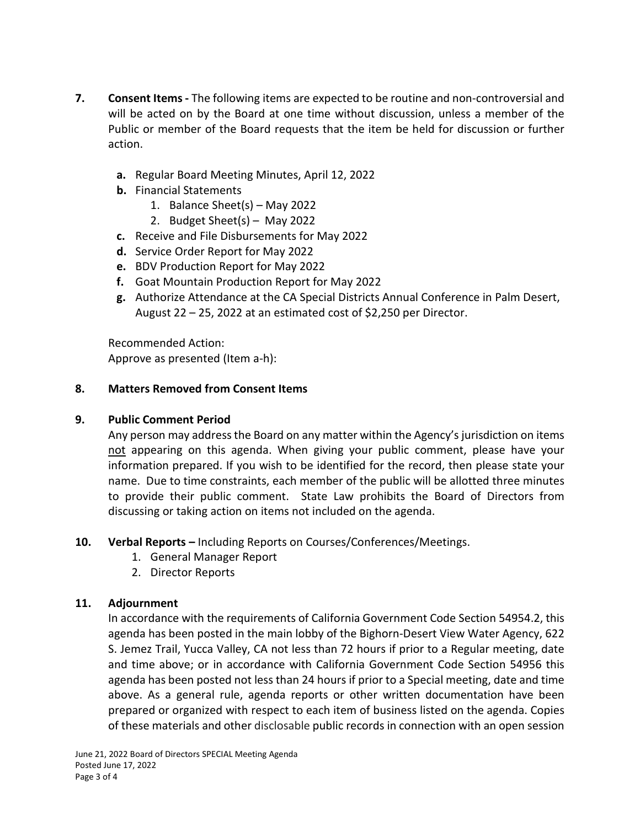- **7. Consent Items -** The following items are expected to be routine and non-controversial and will be acted on by the Board at one time without discussion, unless a member of the Public or member of the Board requests that the item be held for discussion or further action.
	- **a.** Regular Board Meeting Minutes, April 12, 2022
	- **b.** Financial Statements
		- 1. Balance Sheet(s) May 2022
		- 2. Budget Sheet(s) May 2022
	- **c.** Receive and File Disbursements for May 2022
	- **d.** Service Order Report for May 2022
	- **e.** BDV Production Report for May 2022
	- **f.** Goat Mountain Production Report for May 2022
	- **g.** Authorize Attendance at the CA Special Districts Annual Conference in Palm Desert, August 22 – 25, 2022 at an estimated cost of \$2,250 per Director.

Recommended Action: Approve as presented (Item a-h):

#### **8. Matters Removed from Consent Items**

## **9. Public Comment Period**

Any person may address the Board on any matter within the Agency's jurisdiction on items not appearing on this agenda. When giving your public comment, please have your information prepared. If you wish to be identified for the record, then please state your name. Due to time constraints, each member of the public will be allotted three minutes to provide their public comment. State Law prohibits the Board of Directors from discussing or taking action on items not included on the agenda.

## **10. Verbal Reports –** Including Reports on Courses/Conferences/Meetings.

- 1. General Manager Report
- 2. Director Reports

## **11. Adjournment**

In accordance with the requirements of California Government Code Section 54954.2, this agenda has been posted in the main lobby of the Bighorn-Desert View Water Agency, 622 S. Jemez Trail, Yucca Valley, CA not less than 72 hours if prior to a Regular meeting, date and time above; or in accordance with California Government Code Section 54956 this agenda has been posted not less than 24 hours if prior to a Special meeting, date and time above. As a general rule, agenda reports or other written documentation have been prepared or organized with respect to each item of business listed on the agenda. Copies of these materials and other disclosable public records in connection with an open session